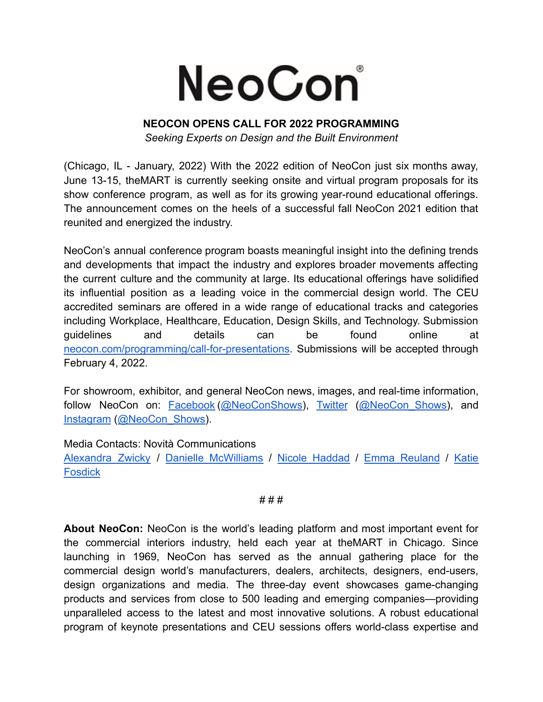## NeoCon

## **NEOCON OPENS CALL FOR 2022 PROGRAMMING**

*Seeking Experts on Design and the Built Environment*

(Chicago, IL - January, 2022) With the 2022 edition of NeoCon just six months away, June 13-15, theMART is currently seeking onsite and virtual program proposals for its show conference program, as well as for its growing year-round educational offerings. The announcement comes on the heels of a successful fall NeoCon 2021 edition that reunited and energized the industry.

NeoCon's annual conference program boasts meaningful insight into the defining trends and developments that impact the industry and explores broader movements affecting the current culture and the community at large. Its educational offerings have solidified its influential position as a leading voice in the commercial design world. The CEU accredited seminars are offered in a wide range of educational tracks and categories including Workplace, Healthcare, Education, Design Skills, and Technology. Submission guidelines and details can be found online at [neocon.com/programming/call-for-presentations.](https://neocon.com/programming/call-for-presentations) Submissions will be accepted through February 4, 2022.

For showroom, exhibitor, and general NeoCon news, images, and real-time information, follow NeoCon on: [Facebook](https://www.facebook.com/neoconshows/?ref=br_rs) ([@NeoConShows](https://www.facebook.com/neoconshows/)), [Twitter](https://twitter.com/neocon_shows?lang=en) (@NeoCon Shows), and [Instagram](https://www.instagram.com/neocon_shows/?hl=en) ([@NeoCon\\_Shows\)](https://www.instagram.com/neocon_shows/?hl=en).

Media Contacts: Novità Communications

[Alexandra](mailto:alexandra@novitapr.com) Zwicky / Danielle [McWilliams](mailto:danielle@novitapr.com) / Nicole [Haddad](mailto:nic@novitapr.com) / Emma [Reuland](mailto:emma@novitapr.com) / [Katie](mailto:katiefosdick@novitapr.com) [Fosdick](mailto:katiefosdick@novitapr.com)

# # #

**About NeoCon:** NeoCon is the world's leading platform and most important event for the commercial interiors industry, held each year at theMART in Chicago. Since launching in 1969, NeoCon has served as the annual gathering place for the commercial design world's manufacturers, dealers, architects, designers, end-users, design organizations and media. The three-day event showcases game-changing products and services from close to 500 leading and emerging companies—providing unparalleled access to the latest and most innovative solutions. A robust educational program of keynote presentations and CEU sessions offers world-class expertise and